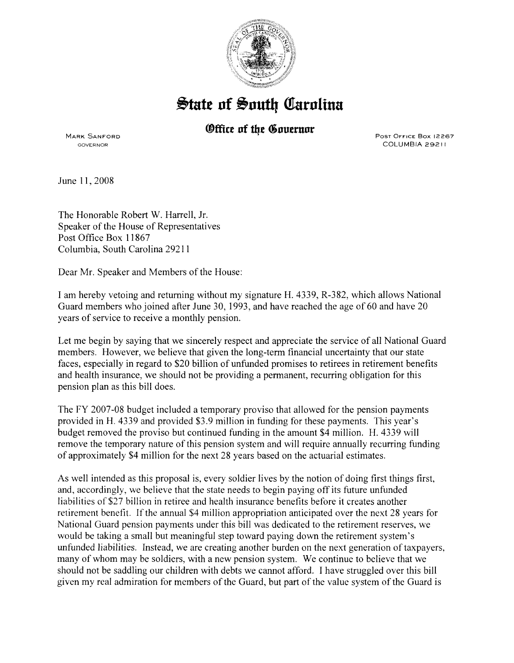

## $\frac{1}{2}$ tate of South Carolina

## *®ffice of the Governor*

MARK SANFORD GOVERNOR

PosT OFFICE Box 12267 COLUMBIA 29211

June 11, 2008

The Honorable Robert W. Harrell, Jr. Speaker of the House of Representatives Post Office Box 11867 Columbia, South Carolina 29211

Dear Mr. Speaker and Members of the House:

I am hereby vetoing and returning without my signature H. 4339, R-382, which allows National Guard members who joined after June 30, 1993, and have reached the age of 60 and have 20 years of service to receive a monthly pension.

Let me begin by saying that we sincerely respect and appreciate the service of all National Guard members. However, we believe that given the long-term financial uncertainty that our state faces, especially in regard to \$20 billion of unfunded promises to retirees in retirement benefits and health insurance, we should not be providing a permanent, recurring obligation for this pension plan as this bill does.

The FY 2007-08 budget included a temporary proviso that allowed for the pension payments provided in H. 4339 and provided \$3.9 million in funding for these payments. This year's budget removed the proviso but continued funding in the amount \$4 million. H. 4339 will remove the temporary nature of this pension system and will require annually recurring funding of approximately \$4 million for the next 28 years based on the actuarial estimates.

As well intended as this proposal is, every soldier lives by the notion of doing first things first, and, accordingly, we believe that the state needs to begin paying off its future unfunded liabilities of \$27 billion in retiree and health insurance benefits before it creates another retirement benefit. If the annual \$4 million appropriation anticipated over the next 28 years for National Guard pension payments under this bill was dedicated to the retirement reserves, we would be taking a small but meaningful step toward paying down the retirement system's unfunded liabilities. Instead, we are creating another burden on the next generation of taxpayers, many of whom may be soldiers, with a new pension system. We continue to believe that we should not be saddling our children with debts we cannot afford. I have struggled over this bill given my real admiration for members of the Guard, but part of the value system of the Guard is